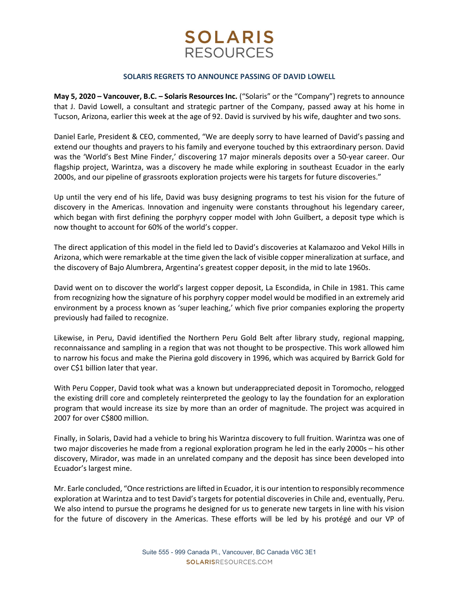# **SOLARIS RESOURCES**

#### SOLARIS REGRETS TO ANNOUNCE PASSING OF DAVID LOWELL

May 5, 2020 – Vancouver, B.C. – Solaris Resources Inc. ("Solaris" or the "Company") regrets to announce that J. David Lowell, a consultant and strategic partner of the Company, passed away at his home in Tucson, Arizona, earlier this week at the age of 92. David is survived by his wife, daughter and two sons.

Daniel Earle, President & CEO, commented, "We are deeply sorry to have learned of David's passing and extend our thoughts and prayers to his family and everyone touched by this extraordinary person. David was the 'World's Best Mine Finder,' discovering 17 major minerals deposits over a 50-year career. Our flagship project, Warintza, was a discovery he made while exploring in southeast Ecuador in the early 2000s, and our pipeline of grassroots exploration projects were his targets for future discoveries."

Up until the very end of his life, David was busy designing programs to test his vision for the future of discovery in the Americas. Innovation and ingenuity were constants throughout his legendary career, which began with first defining the porphyry copper model with John Guilbert, a deposit type which is now thought to account for 60% of the world's copper.

The direct application of this model in the field led to David's discoveries at Kalamazoo and Vekol Hills in Arizona, which were remarkable at the time given the lack of visible copper mineralization at surface, and the discovery of Bajo Alumbrera, Argentina's greatest copper deposit, in the mid to late 1960s.

David went on to discover the world's largest copper deposit, La Escondida, in Chile in 1981. This came from recognizing how the signature of his porphyry copper model would be modified in an extremely arid environment by a process known as 'super leaching,' which five prior companies exploring the property previously had failed to recognize.

Likewise, in Peru, David identified the Northern Peru Gold Belt after library study, regional mapping, reconnaissance and sampling in a region that was not thought to be prospective. This work allowed him to narrow his focus and make the Pierina gold discovery in 1996, which was acquired by Barrick Gold for over C\$1 billion later that year.

With Peru Copper, David took what was a known but underappreciated deposit in Toromocho, relogged the existing drill core and completely reinterpreted the geology to lay the foundation for an exploration program that would increase its size by more than an order of magnitude. The project was acquired in 2007 for over C\$800 million.

Finally, in Solaris, David had a vehicle to bring his Warintza discovery to full fruition. Warintza was one of two major discoveries he made from a regional exploration program he led in the early 2000s – his other discovery, Mirador, was made in an unrelated company and the deposit has since been developed into Ecuador's largest mine.

Mr. Earle concluded, "Once restrictions are lifted in Ecuador, it is our intention to responsibly recommence exploration at Warintza and to test David's targets for potential discoveries in Chile and, eventually, Peru. We also intend to pursue the programs he designed for us to generate new targets in line with his vision for the future of discovery in the Americas. These efforts will be led by his protégé and our VP of